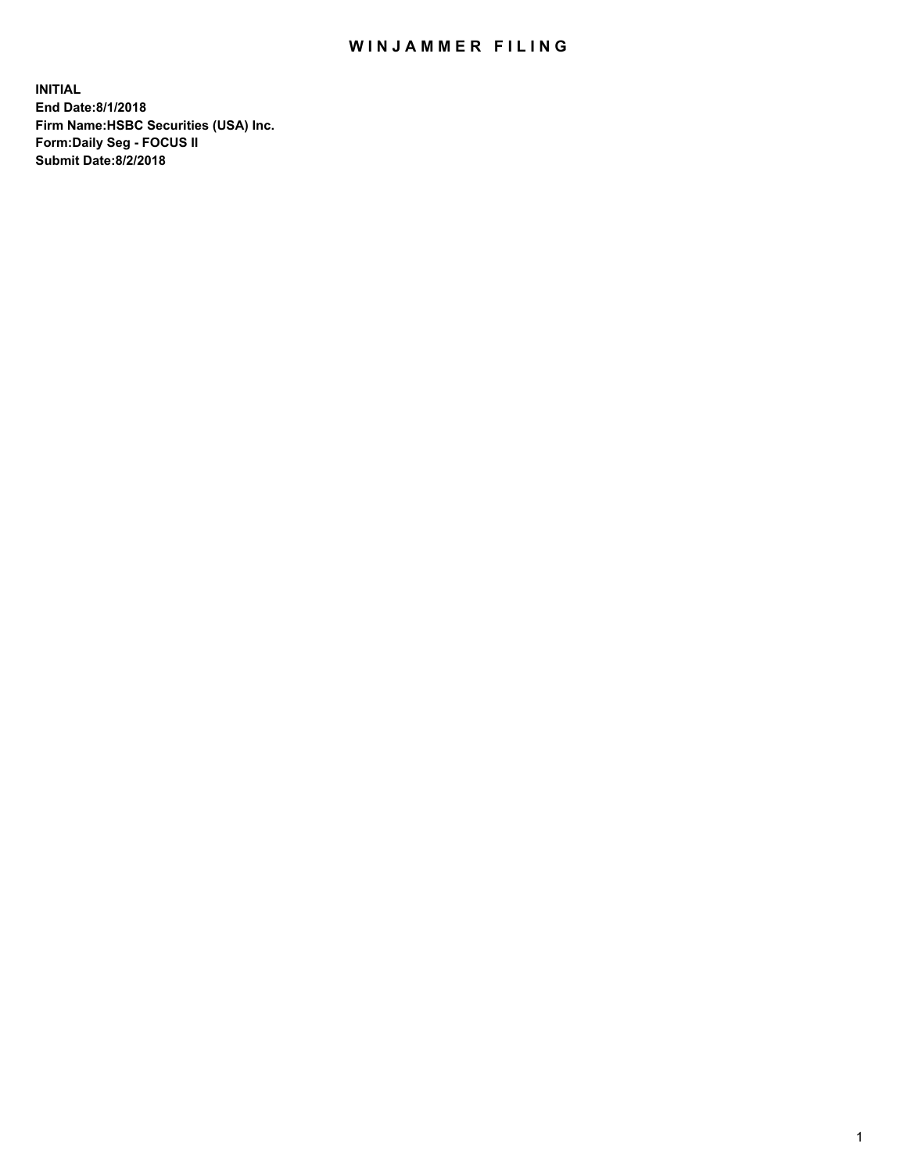## WIN JAMMER FILING

**INITIAL End Date:8/1/2018 Firm Name:HSBC Securities (USA) Inc. Form:Daily Seg - FOCUS II Submit Date:8/2/2018**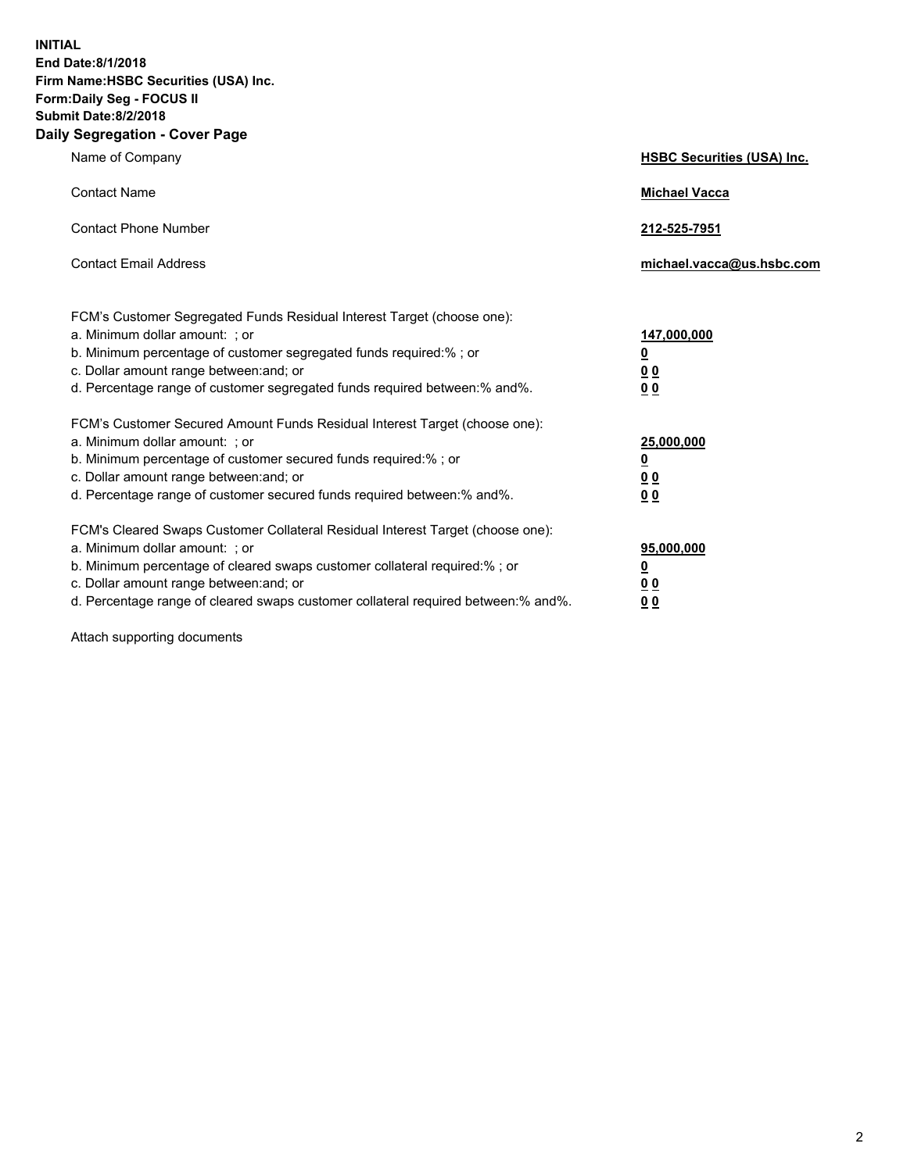**INITIAL End Date:8/1/2018 Firm Name:HSBC Securities (USA) Inc. Form:Daily Seg - FOCUS II Submit Date:8/2/2018 Daily Segregation - Cover Page**

| Name of Company                                                                                                                                                                                                                                                                                                                | <b>HSBC Securities (USA) Inc.</b>                                          |
|--------------------------------------------------------------------------------------------------------------------------------------------------------------------------------------------------------------------------------------------------------------------------------------------------------------------------------|----------------------------------------------------------------------------|
| <b>Contact Name</b>                                                                                                                                                                                                                                                                                                            | <b>Michael Vacca</b>                                                       |
| <b>Contact Phone Number</b>                                                                                                                                                                                                                                                                                                    | 212-525-7951                                                               |
| <b>Contact Email Address</b>                                                                                                                                                                                                                                                                                                   | michael.vacca@us.hsbc.com                                                  |
| FCM's Customer Segregated Funds Residual Interest Target (choose one):<br>a. Minimum dollar amount: ; or<br>b. Minimum percentage of customer segregated funds required:% ; or<br>c. Dollar amount range between: and; or<br>d. Percentage range of customer segregated funds required between:% and%.                         | 147,000,000<br>$\overline{\mathbf{0}}$<br>0 <sub>0</sub><br>0 <sub>0</sub> |
| FCM's Customer Secured Amount Funds Residual Interest Target (choose one):<br>a. Minimum dollar amount: ; or<br>b. Minimum percentage of customer secured funds required:%; or<br>c. Dollar amount range between: and; or<br>d. Percentage range of customer secured funds required between:% and%.                            | 25,000,000<br><u>0</u><br>0 <sub>0</sub><br>0 <sub>0</sub>                 |
| FCM's Cleared Swaps Customer Collateral Residual Interest Target (choose one):<br>a. Minimum dollar amount: ; or<br>b. Minimum percentage of cleared swaps customer collateral required:% ; or<br>c. Dollar amount range between: and; or<br>d. Percentage range of cleared swaps customer collateral required between:% and%. | 95,000,000<br><u>0</u><br><u>00</u><br>00                                  |

Attach supporting documents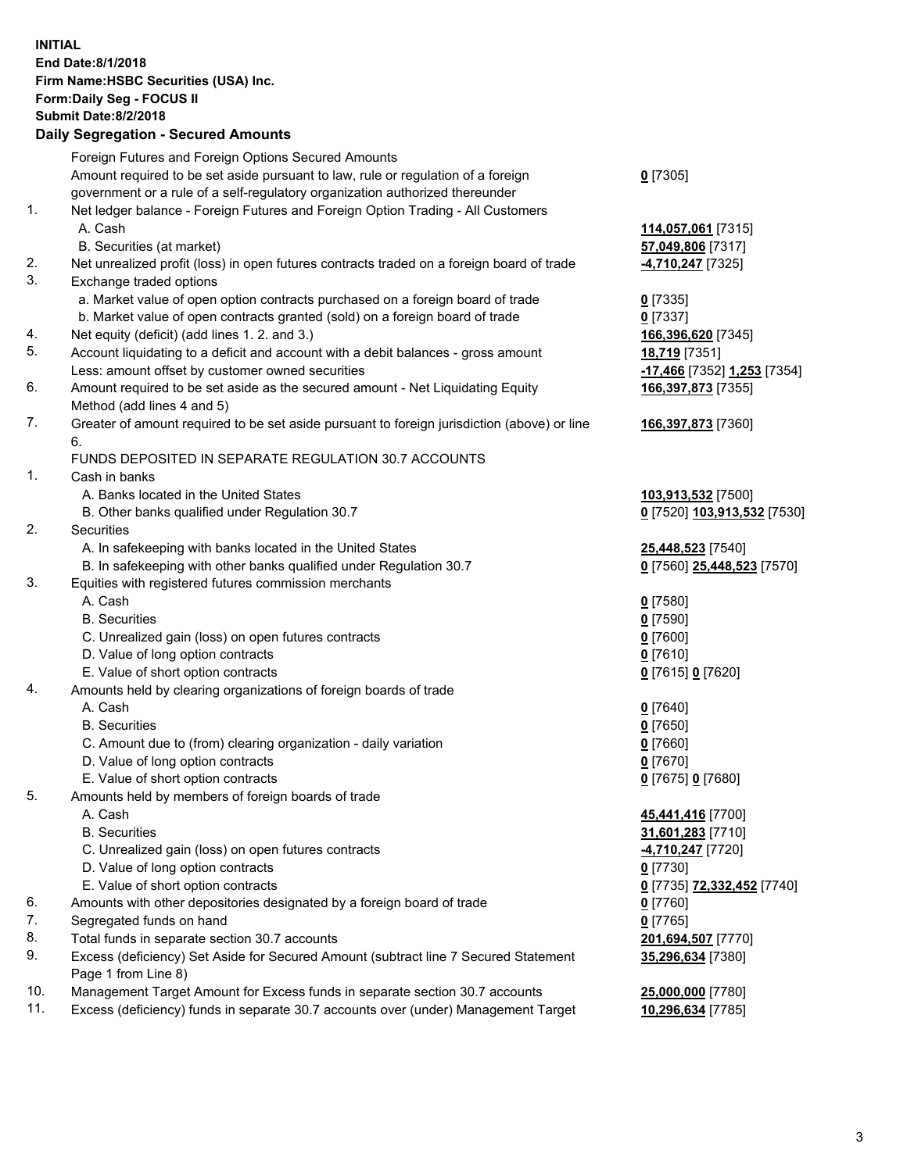**INITIAL End Date:8/1/2018 Firm Name:HSBC Securities (USA) Inc. Form:Daily Seg - FOCUS II Submit Date:8/2/2018 Daily Segregation - Secured Amounts** Foreign Futures and Foreign Options Secured Amounts Amount required to be set aside pursuant to law, rule or regulation of a foreign government or a rule of a self-regulatory organization authorized thereunder **0** [7305] 1. Net ledger balance - Foreign Futures and Foreign Option Trading - All Customers A. Cash **114,057,061** [7315] B. Securities (at market) **57,049,806** [7317] 2. Net unrealized profit (loss) in open futures contracts traded on a foreign board of trade **-4,710,247** [7325] 3. Exchange traded options a. Market value of open option contracts purchased on a foreign board of trade **0** [7335] b. Market value of open contracts granted (sold) on a foreign board of trade **0** [7337] 4. Net equity (deficit) (add lines 1. 2. and 3.) **166,396,620** [7345] 5. Account liquidating to a deficit and account with a debit balances - gross amount **18,719** [7351] Less: amount offset by customer owned securities **-17,466** [7352] **1,253** [7354] 6. Amount required to be set aside as the secured amount - Net Liquidating Equity Method (add lines 4 and 5) **166,397,873** [7355] 7. Greater of amount required to be set aside pursuant to foreign jurisdiction (above) or line 6. **166,397,873** [7360] FUNDS DEPOSITED IN SEPARATE REGULATION 30.7 ACCOUNTS 1. Cash in banks A. Banks located in the United States **103,913,532** [7500] B. Other banks qualified under Regulation 30.7 **0** [7520] **103,913,532** [7530] 2. Securities A. In safekeeping with banks located in the United States **25,448,523** [7540] B. In safekeeping with other banks qualified under Regulation 30.7 **0** [7560] **25,448,523** [7570] 3. Equities with registered futures commission merchants A. Cash **0** [7580] B. Securities **0** [7590] C. Unrealized gain (loss) on open futures contracts **0** [7600] D. Value of long option contracts **0** [7610] E. Value of short option contracts **0** [7615] **0** [7620] 4. Amounts held by clearing organizations of foreign boards of trade A. Cash **0** [7640] B. Securities **0** [7650] C. Amount due to (from) clearing organization - daily variation **0** [7660] D. Value of long option contracts **0** [7670] E. Value of short option contracts **0** [7675] **0** [7680] 5. Amounts held by members of foreign boards of trade A. Cash **45,441,416** [7700] B. Securities **31,601,283** [7710] C. Unrealized gain (loss) on open futures contracts **-4,710,247** [7720] D. Value of long option contracts **0** [7730] E. Value of short option contracts **0** [7735] **72,332,452** [7740] 6. Amounts with other depositories designated by a foreign board of trade **0** [7760] 7. Segregated funds on hand **0** [7765] 8. Total funds in separate section 30.7 accounts **201,694,507** [7770] 9. Excess (deficiency) Set Aside for Secured Amount (subtract line 7 Secured Statement Page 1 from Line 8) **35,296,634** [7380] 10. Management Target Amount for Excess funds in separate section 30.7 accounts **25,000,000** [7780] 11. Excess (deficiency) funds in separate 30.7 accounts over (under) Management Target **10,296,634** [7785]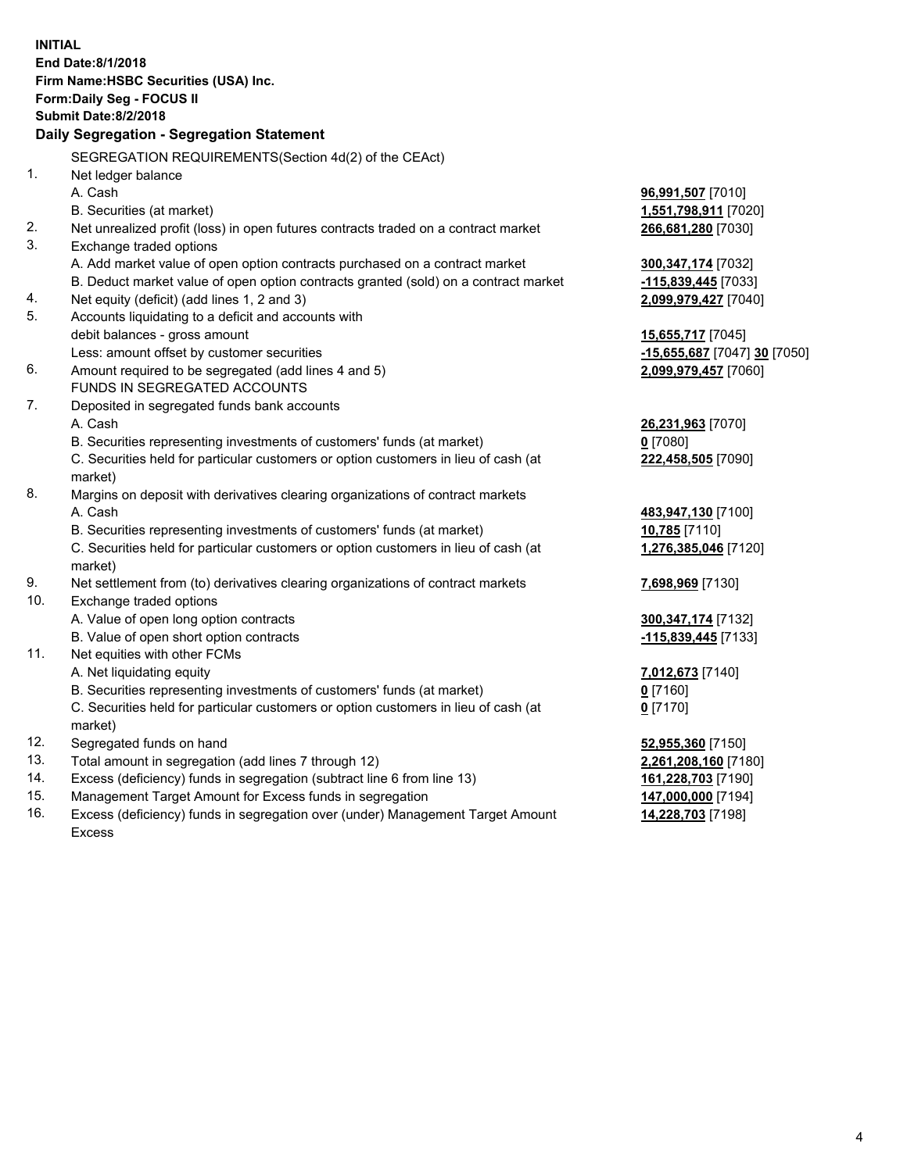|            | <b>INITIAL</b><br>End Date:8/1/2018<br>Firm Name: HSBC Securities (USA) Inc.<br>Form: Daily Seg - FOCUS II<br><b>Submit Date: 8/2/2018</b> |                                          |
|------------|--------------------------------------------------------------------------------------------------------------------------------------------|------------------------------------------|
|            | Daily Segregation - Segregation Statement                                                                                                  |                                          |
|            | SEGREGATION REQUIREMENTS(Section 4d(2) of the CEAct)                                                                                       |                                          |
| 1.         | Net ledger balance                                                                                                                         |                                          |
|            | A. Cash                                                                                                                                    | 96,991,507 [7010]                        |
|            | B. Securities (at market)                                                                                                                  | 1,551,798,911 [7020]                     |
| 2.         | Net unrealized profit (loss) in open futures contracts traded on a contract market                                                         | 266,681,280 [7030]                       |
| 3.         | Exchange traded options                                                                                                                    |                                          |
|            | A. Add market value of open option contracts purchased on a contract market                                                                | 300, 347, 174 [7032]                     |
|            | B. Deduct market value of open option contracts granted (sold) on a contract market                                                        | -115,839,445 [7033]                      |
| 4.         | Net equity (deficit) (add lines 1, 2 and 3)                                                                                                | 2,099,979,427 [7040]                     |
| 5.         | Accounts liquidating to a deficit and accounts with                                                                                        |                                          |
|            | debit balances - gross amount                                                                                                              | 15,655,717 [7045]                        |
|            | Less: amount offset by customer securities                                                                                                 | -15,655,687 [7047] 30 [7050]             |
| 6.         | Amount required to be segregated (add lines 4 and 5)                                                                                       | 2,099,979,457 [7060]                     |
|            | FUNDS IN SEGREGATED ACCOUNTS                                                                                                               |                                          |
| 7.         | Deposited in segregated funds bank accounts                                                                                                |                                          |
|            | A. Cash                                                                                                                                    | 26,231,963 [7070]                        |
|            | B. Securities representing investments of customers' funds (at market)                                                                     | $0$ [7080]                               |
|            | C. Securities held for particular customers or option customers in lieu of cash (at                                                        | 222,458,505 [7090]                       |
|            | market)                                                                                                                                    |                                          |
| 8.         | Margins on deposit with derivatives clearing organizations of contract markets                                                             |                                          |
|            | A. Cash                                                                                                                                    | 483,947,130 [7100]                       |
|            | B. Securities representing investments of customers' funds (at market)                                                                     | 10,785 [7110]                            |
|            | C. Securities held for particular customers or option customers in lieu of cash (at                                                        | 1,276,385,046 [7120]                     |
|            | market)                                                                                                                                    |                                          |
| 9.         | Net settlement from (to) derivatives clearing organizations of contract markets                                                            | 7,698,969 [7130]                         |
| 10.        | Exchange traded options                                                                                                                    |                                          |
|            | A. Value of open long option contracts                                                                                                     | 300, 347, 174 [7132]                     |
|            | B. Value of open short option contracts                                                                                                    | -115,839,445 [7133]                      |
| 11.        | Net equities with other FCMs                                                                                                               |                                          |
|            | A. Net liquidating equity                                                                                                                  | 7,012,673 [7140]                         |
|            | B. Securities representing investments of customers' funds (at market)                                                                     | $0$ [7160]                               |
|            | C. Securities held for particular customers or option customers in lieu of cash (at                                                        | $0$ [7170]                               |
|            | market)                                                                                                                                    |                                          |
| 12.<br>13. | Segregated funds on hand                                                                                                                   | 52,955,360 [7150]                        |
| 14.        | Total amount in segregation (add lines 7 through 12)                                                                                       | 2,261,208,160 [7180]                     |
| 15.        | Excess (deficiency) funds in segregation (subtract line 6 from line 13)<br>Management Target Amount for Excess funds in segregation        | 161,228,703 [7190]<br>147,000,000 [7194] |
| 16.        | Excess (deficiency) funds in segregation over (under) Management Target Amount                                                             | 14,228,703 [7198]                        |
|            |                                                                                                                                            |                                          |

Excess